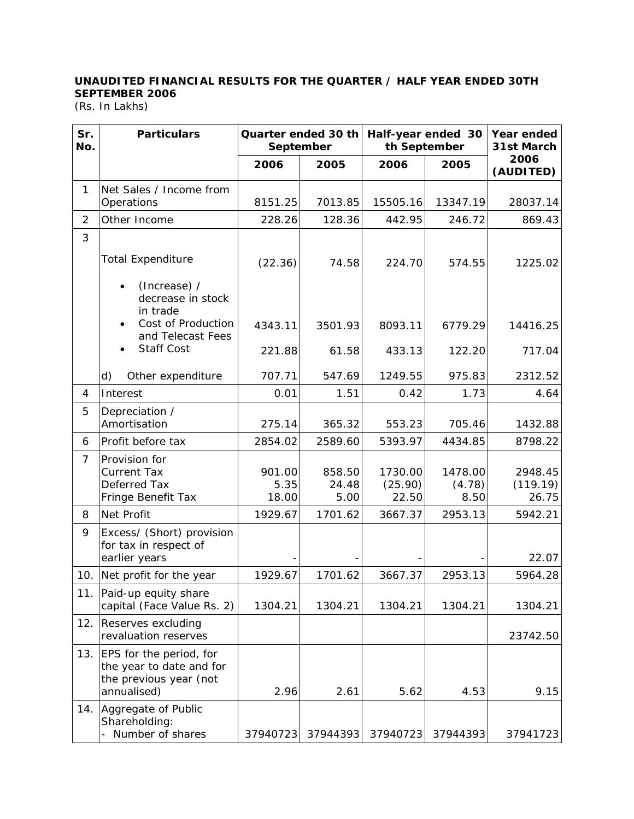## **UNAUDITED FINANCIAL RESULTS FOR THE QUARTER / HALF YEAR ENDED 30TH SEPTEMBER 2006**

(Rs. In Lakhs)

| Sr.<br>No. | <b>Particulars</b>                                                                           | Quarter ended 30 th<br>September |                         | Half-year ended 30<br>th September |                           | Year ended<br>31st March     |  |
|------------|----------------------------------------------------------------------------------------------|----------------------------------|-------------------------|------------------------------------|---------------------------|------------------------------|--|
|            |                                                                                              | 2006                             | 2005                    | 2006                               | 2005                      | 2006<br>(AUDITED)            |  |
| 1.         | Net Sales / Income from<br>Operations                                                        | 8151.25                          | 7013.85                 | 15505.16                           | 13347.19                  | 28037.14                     |  |
| 2          | Other Income                                                                                 | 228.26                           | 128.36                  | 442.95                             | 246.72                    | 869.43                       |  |
| 3          |                                                                                              |                                  |                         |                                    |                           |                              |  |
|            | <b>Total Expenditure</b><br>(Increase) /<br>decrease in stock<br>in trade                    | (22.36)                          | 74.58                   | 224.70                             | 574.55                    | 1225.02                      |  |
|            | Cost of Production<br>and Telecast Fees                                                      | 4343.11                          | 3501.93                 | 8093.11                            | 6779.29                   | 14416.25                     |  |
|            | Staff Cost                                                                                   | 221.88                           | 61.58                   | 433.13                             | 122.20                    | 717.04                       |  |
|            | d)<br>Other expenditure                                                                      | 707.71                           | 547.69                  | 1249.55                            | 975.83                    | 2312.52                      |  |
| 4          | Interest                                                                                     | 0.01                             | 1.51                    | 0.42                               | 1.73                      | 4.64                         |  |
| 5          | Depreciation /<br>Amortisation                                                               | 275.14                           | 365.32                  | 553.23                             | 705.46                    | 1432.88                      |  |
| 6          | Profit before tax                                                                            | 2854.02                          | 2589.60                 | 5393.97                            | 4434.85                   | 8798.22                      |  |
| 7          | Provision for<br><b>Current Tax</b><br>Deferred Tax<br>Fringe Benefit Tax                    | 901.00<br>5.35<br>18.00          | 858.50<br>24.48<br>5.00 | 1730.00<br>(25.90)<br>22.50        | 1478.00<br>(4.78)<br>8.50 | 2948.45<br>(119.19)<br>26.75 |  |
| 8          | Net Profit                                                                                   | 1929.67                          | 1701.62                 | 3667.37                            | 2953.13                   | 5942.21                      |  |
| 9          | Excess/ (Short) provision<br>for tax in respect of<br>earlier years                          |                                  |                         |                                    |                           | 22.07                        |  |
| 10.        | Net profit for the year                                                                      | 1929.67                          | 1701.62                 | 3667.37                            | 2953.13                   | 5964.28                      |  |
|            | 11. Paid-up equity share<br>capital (Face Value Rs. 2)                                       | 1304.21                          | 1304.21                 | 1304.21                            | 1304.21                   | 1304.21                      |  |
| 12.        | Reserves excluding<br>revaluation reserves                                                   |                                  |                         |                                    |                           | 23742.50                     |  |
| 13.        | EPS for the period, for<br>the year to date and for<br>the previous year (not<br>annualised) | 2.96                             | 2.61                    | 5.62                               | 4.53                      | 9.15                         |  |
| 14.        | Aggregate of Public<br>Shareholding:<br>- Number of shares                                   | 37940723                         | 37944393                | 37940723                           | 37944393                  | 37941723                     |  |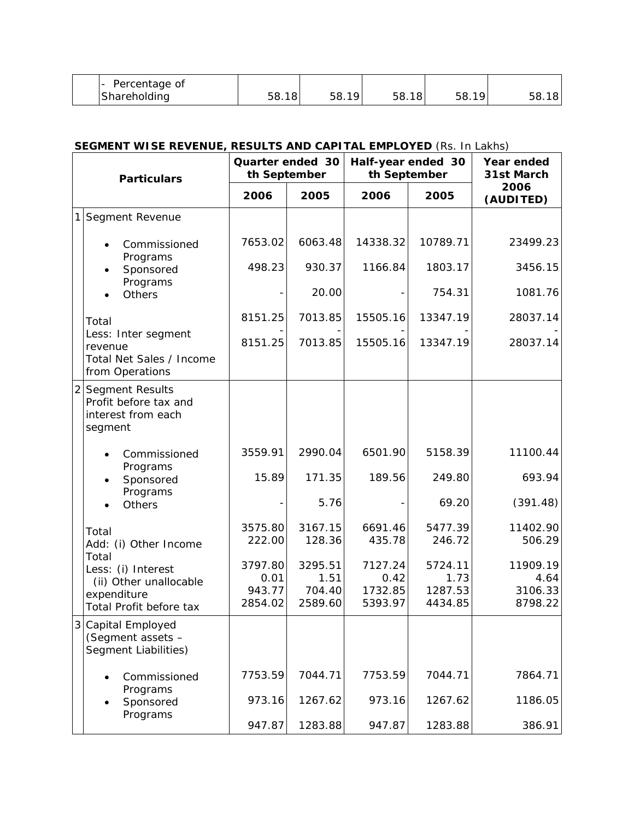| Percentage of |           |                    |     |                   |
|---------------|-----------|--------------------|-----|-------------------|
| Shareholding  | - ~<br>∽≻ | $\sim$<br>nh.<br>◡ | ၁ဝ. | 1 O<br><u>ບບ.</u> |

## **SEGMENT WISE REVENUE, RESULTS AND CAPITAL EMPLOYED** (Rs. In Lakhs)

| <b>Particulars</b> |                                                                                                                                   | Quarter ended 30<br>th September     |                                      | Half-year ended 30<br>th September    |                                       | Year ended<br>31st March               |
|--------------------|-----------------------------------------------------------------------------------------------------------------------------------|--------------------------------------|--------------------------------------|---------------------------------------|---------------------------------------|----------------------------------------|
|                    |                                                                                                                                   | 2006                                 | 2005                                 | 2006                                  | 2005                                  | 2006<br>(AUDITED)                      |
| 1                  | Segment Revenue                                                                                                                   |                                      |                                      |                                       |                                       |                                        |
|                    | Commissioned<br>Programs<br>Sponsored<br>Programs<br>Others                                                                       | 7653.02                              | 6063.48                              | 14338.32                              | 10789.71                              | 23499.23                               |
|                    |                                                                                                                                   | 498.23                               | 930.37                               | 1166.84                               | 1803.17                               | 3456.15                                |
|                    |                                                                                                                                   |                                      | 20.00                                |                                       | 754.31                                | 1081.76                                |
|                    | Total<br>Less: Inter segment<br>revenue<br>Total Net Sales / Income<br>from Operations                                            | 8151.25                              | 7013.85                              | 15505.16                              | 13347.19                              | 28037.14                               |
|                    |                                                                                                                                   | 8151.25                              | 7013.85                              | 15505.16                              | 13347.19                              | 28037.14                               |
| $\overline{2}$     | Segment Results<br>Profit before tax and<br>interest from each<br>segment                                                         |                                      |                                      |                                       |                                       |                                        |
|                    | Commissioned                                                                                                                      | 3559.91                              | 2990.04                              | 6501.90                               | 5158.39                               | 11100.44                               |
|                    | Programs<br>Sponsored<br>Programs<br><b>Others</b>                                                                                | 15.89                                | 171.35                               | 189.56                                | 249.80                                | 693.94                                 |
|                    |                                                                                                                                   |                                      | 5.76                                 |                                       | 69.20                                 | (391.48)                               |
|                    | Total<br>Add: (i) Other Income<br>Total<br>Less: (i) Interest<br>(ii) Other unallocable<br>expenditure<br>Total Profit before tax | 3575.80<br>222.00                    | 3167.15<br>128.36                    | 6691.46<br>435.78                     | 5477.39<br>246.72                     | 11402.90<br>506.29                     |
|                    |                                                                                                                                   | 3797.80<br>0.01<br>943.77<br>2854.02 | 3295.51<br>1.51<br>704.40<br>2589.60 | 7127.24<br>0.42<br>1732.85<br>5393.97 | 5724.11<br>1.73<br>1287.53<br>4434.85 | 11909.19<br>4.64<br>3106.33<br>8798.22 |
| 3                  | Capital Employed<br>(Segment assets -<br>Segment Liabilities)                                                                     |                                      |                                      |                                       |                                       |                                        |
|                    | Commissioned                                                                                                                      | 7753.59                              | 7044.71                              | 7753.59                               | 7044.71                               | 7864.71                                |
|                    | Programs<br>Sponsored                                                                                                             | 973.16                               | 1267.62                              | 973.16                                | 1267.62                               | 1186.05                                |
|                    | Programs                                                                                                                          | 947.87                               | 1283.88                              | 947.87                                | 1283.88                               | 386.91                                 |